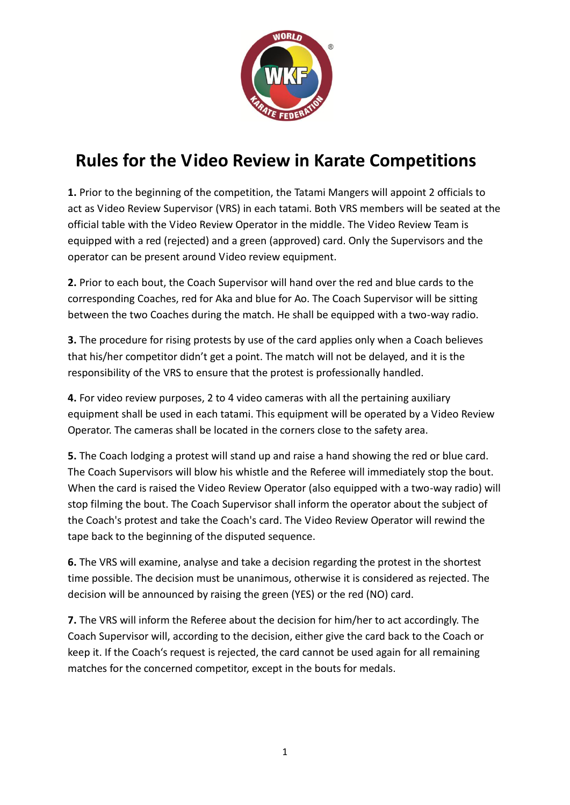

## **Rules for the Video Review in Karate Competitions**

**1.** Prior to the beginning of the competition, the Tatami Mangers will appoint 2 officials to act as Video Review Supervisor (VRS) in each tatami. Both VRS members will be seated at the official table with the Video Review Operator in the middle. The Video Review Team is equipped with a red (rejected) and a green (approved) card. Only the Supervisors and the operator can be present around Video review equipment.

**2.** Prior to each bout, the Coach Supervisor will hand over the red and blue cards to the corresponding Coaches, red for Aka and blue for Ao. The Coach Supervisor will be sitting between the two Coaches during the match. He shall be equipped with a two-way radio.

**3.** The procedure for rising protests by use of the card applies only when a Coach believes that his/her competitor didn't get a point. The match will not be delayed, and it is the responsibility of the VRS to ensure that the protest is professionally handled.

**4.** For video review purposes, 2 to 4 video cameras with all the pertaining auxiliary equipment shall be used in each tatami. This equipment will be operated by a Video Review Operator. The cameras shall be located in the corners close to the safety area.

**5.** The Coach lodging a protest will stand up and raise a hand showing the red or blue card. The Coach Supervisors will blow his whistle and the Referee will immediately stop the bout. When the card is raised the Video Review Operator (also equipped with a two-way radio) will stop filming the bout. The Coach Supervisor shall inform the operator about the subject of the Coach's protest and take the Coach's card. The Video Review Operator will rewind the tape back to the beginning of the disputed sequence.

**6.** The VRS will examine, analyse and take a decision regarding the protest in the shortest time possible. The decision must be unanimous, otherwise it is considered as rejected. The decision will be announced by raising the green (YES) or the red (NO) card.

**7.** The VRS will inform the Referee about the decision for him/her to act accordingly. The Coach Supervisor will, according to the decision, either give the card back to the Coach or keep it. If the Coach's request is rejected, the card cannot be used again for all remaining matches for the concerned competitor, except in the bouts for medals.